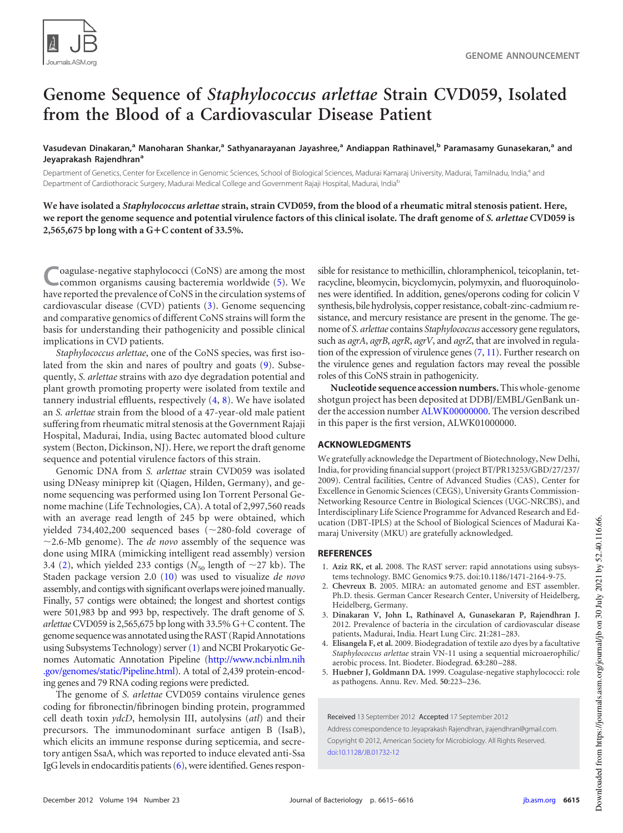

## **Genome Sequence of** *Staphylococcus arlettae* **Strain CVD059, Isolated from the Blood of a Cardiovascular Disease Patient**

Vasudevan Dinakaran,<sup>a</sup> Manoharan Shankar,<sup>a</sup> Sathyanarayanan Jayashree,<sup>a</sup> Andiappan Rathinavel,<sup>b</sup> Paramasamy Gunasekaran,<sup>a</sup> and **Jeyaprakash Rajendhran<sup>a</sup>**

Department of Genetics, Center for Excellence in Genomic Sciences, School of Biological Sciences, Madurai Kamaraj University, Madurai, Tamilnadu, India,<sup>a</sup> and Department of Cardiothoracic Surgery, Madurai Medical College and Government Rajaji Hospital, Madurai, India<sup>b</sup>

**We have isolated a** *Staphylococcus arlettae* **strain, strain CVD059, from the blood of a rheumatic mitral stenosis patient. Here, we report the genome sequence and potential virulence factors of this clinical isolate. The draft genome of** *S. arlettae* **CVD059 is 2,565,675 bp long with a GC content of 33.5%.**

**C** oagulase-negative staphylococci (CoNS) are among the most common organisms causing bacteremia worldwide (5). We have reported the prevalence of CoNS in the circulation systems of oagulase-negative staphylococci (CoNS) are among the most common organisms causing bacteremia worldwide [\(5\)](#page-0-0). We cardiovascular disease (CVD) patients [\(3\)](#page-0-1). Genome sequencing and comparative genomics of different CoNS strains will form the basis for understanding their pathogenicity and possible clinical implications in CVD patients.

*Staphylococcus arlettae*, one of the CoNS species, was first isolated from the skin and nares of poultry and goats [\(9\)](#page-1-0). Subsequently, *S. arlettae* strains with azo dye degradation potential and plant growth promoting property were isolated from textile and tannery industrial effluents, respectively [\(4,](#page-0-2) [8\)](#page-1-1). We have isolated an *S. arlettae* strain from the blood of a 47-year-old male patient suffering from rheumatic mitral stenosis at the Government Rajaji Hospital, Madurai, India, using Bactec automated blood culture system (Becton, Dickinson, NJ). Here, we report the draft genome sequence and potential virulence factors of this strain.

Genomic DNA from *S. arlettae* strain CVD059 was isolated using DNeasy miniprep kit (Qiagen, Hilden, Germany), and genome sequencing was performed using Ion Torrent Personal Genome machine (Life Technologies, CA). A total of 2,997,560 reads with an average read length of 245 bp were obtained, which yielded 734,402,200 sequenced bases ( $\sim$ 280-fold coverage of  $\sim$ 2.6-Mb genome). The *de novo* assembly of the sequence was done using MIRA (mimicking intelligent read assembly) version 3.4 [\(2\)](#page-0-3), which yielded 233 contigs ( $N_{50}$  length of  $\sim$  27 kb). The Staden package version 2.0 [\(10\)](#page-1-2) was used to visualize *de novo* assembly, and contigs with significant overlaps were joined manually. Finally, 57 contigs were obtained; the longest and shortest contigs were 501,983 bp and 993 bp, respectively. The draft genome of *S. arlettae* CVD059 is 2,565,675 bp long with 33.5% G-C content. The genome sequence was annotated using the RAST (Rapid Annotations using Subsystems Technology) server [\(1\)](#page-0-4) and NCBI Prokaryotic Genomes Automatic Annotation Pipeline (http://www.ncbi.nlm.nih .gov/genomes/static/Pipeline.html). A total of 2,439 protein-encoding genes and 79 RNA coding regions were predicted.

The genome of *S. arlettae* CVD059 contains virulence genes coding for fibronectin/fibrinogen binding protein, programmed cell death toxin *ydcD*, hemolysin III, autolysins (*atl*) and their precursors. The immunodominant surface antigen B (IsaB), which elicits an immune response during septicemia, and secretory antigen SsaA, which was reported to induce elevated anti-Ssa IgG levels in endocarditis patients [\(6\)](#page-1-3), were identified. Genes responsible for resistance to methicillin, chloramphenicol, teicoplanin, tetracycline, bleomycin, bicyclomycin, polymyxin, and fluoroquinolones were identified. In addition, genes/operons coding for colicin V synthesis, bile hydrolysis, copper resistance, cobalt-zinc-cadmium resistance, and mercury resistance are present in the genome. The genome of *S. arlettae* contains *Staphylococcus* accessory gene regulators, such as *agrA*, *agrB*, *agrR*, *agrV*, and *agrZ*, that are involved in regulation of the expression of virulence genes [\(7,](#page-1-4) [11\)](#page-1-5). Further research on the virulence genes and regulation factors may reveal the possible roles of this CoNS strain in pathogenicity.

**Nucleotide sequence accession numbers.**This whole-genome shotgun project has been deposited at DDBJ/EMBL/GenBank under the accession number ALWK00000000. The version described in this paper is the first version, ALWK01000000.

## **ACKNOWLEDGMENTS**

We gratefully acknowledge the Department of Biotechnology, New Delhi, India, for providing financial support (project BT/PR13253/GBD/27/237/ 2009). Central facilities, Centre of Advanced Studies (CAS), Center for Excellence in Genomic Sciences (CEGS), University Grants Commission-Networking Resource Centre in Biological Sciences (UGC-NRCBS), and Interdisciplinary Life Science Programme for Advanced Research and Education (DBT-IPLS) at the School of Biological Sciences of Madurai Kamaraj University (MKU) are gratefully acknowledged.

## <span id="page-0-4"></span>**REFERENCES**

- <span id="page-0-3"></span>1. **Aziz RK, et al.** 2008. The RAST server: rapid annotations using subsystems technology. BMC Genomics **9**:75. doi:10.1186/1471-2164-9-75.
- <span id="page-0-1"></span>2. **Chevreux B.** 2005. MIRA: an automated genome and EST assembler. Ph.D. thesis. German Cancer Research Center, University of Heidelberg, Heidelberg, Germany.
- <span id="page-0-2"></span>3. **Dinakaran V, John L, Rathinavel A, Gunasekaran P, Rajendhran J.** 2012. Prevalence of bacteria in the circulation of cardiovascular disease patients, Madurai, India. Heart Lung Circ. **21**:281–283.
- <span id="page-0-0"></span>4. **Elisangela F, et al.** 2009. Biodegradation of textile azo dyes by a facultative *Staphylococcus arlettae* strain VN-11 using a sequential microaerophilic/ aerobic process. Int. Biodeter. Biodegrad. **63**:280 –288.
- 5. **Huebner J, Goldmann DA.** 1999. Coagulase-negative staphylococci: role as pathogens. Annu. Rev. Med. **50**:223–236.

Received 13 September 2012 Accepted 17 September 2012 Address correspondence to Jeyaprakash Rajendhran, jrajendhran@gmail.com. Copyright © 2012, American Society for Microbiology. All Rights Reserved. doi:10.1128/JB.01732-12